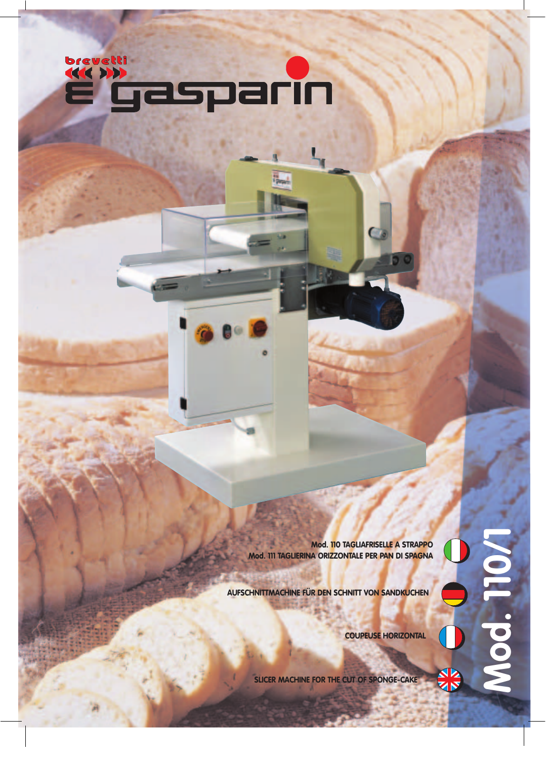

**Mod. 110 TAGLIAFRISELLE A STRAPPO Mod. 111 TAGLIERINA ORIZZONTALE PER PAN DI SPAGNA**

**AUFSCHNITTMACHINE FÜR DEN SCHNITT VON SANDKUCHEN**

**Mod. 110/1**T pay

ZIN

**COUPEUSE HORIZONTAL**

**SLICER MACHINE FOR THE CUT OF SPONGE-CAKE**